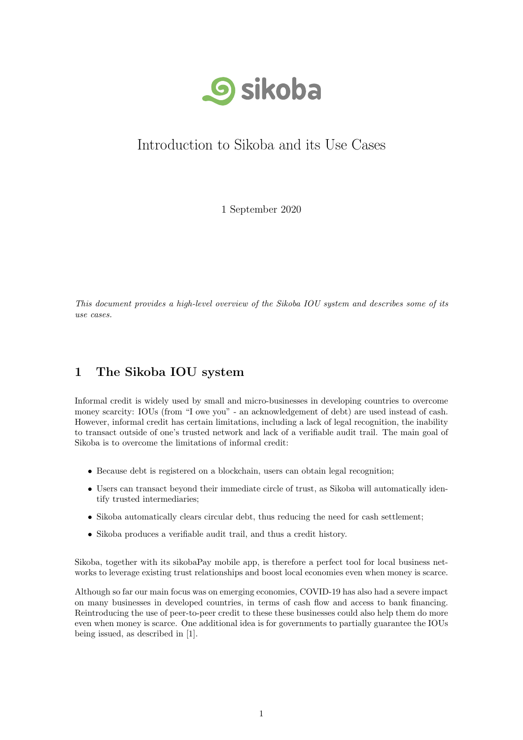

# Introduction to Sikoba and its Use Cases

1 September 2020

This document provides a high-level overview of the Sikoba IOU system and describes some of its use cases.

## 1 The Sikoba IOU system

Informal credit is widely used by small and micro-businesses in developing countries to overcome money scarcity: IOUs (from "I owe you" - an acknowledgement of debt) are used instead of cash. However, informal credit has certain limitations, including a lack of legal recognition, the inability to transact outside of one's trusted network and lack of a verifiable audit trail. The main goal of Sikoba is to overcome the limitations of informal credit:

- Because debt is registered on a blockchain, users can obtain legal recognition;
- Users can transact beyond their immediate circle of trust, as Sikoba will automatically identify trusted intermediaries;
- Sikoba automatically clears circular debt, thus reducing the need for cash settlement;
- Sikoba produces a verifiable audit trail, and thus a credit history.

Sikoba, together with its sikobaPay mobile app, is therefore a perfect tool for local business networks to leverage existing trust relationships and boost local economies even when money is scarce.

Although so far our main focus was on emerging economies, COVID-19 has also had a severe impact on many businesses in developed countries, in terms of cash flow and access to bank financing. Reintroducing the use of peer-to-peer credit to these these businesses could also help them do more even when money is scarce. One additional idea is for governments to partially guarantee the IOUs being issued, as described in [1].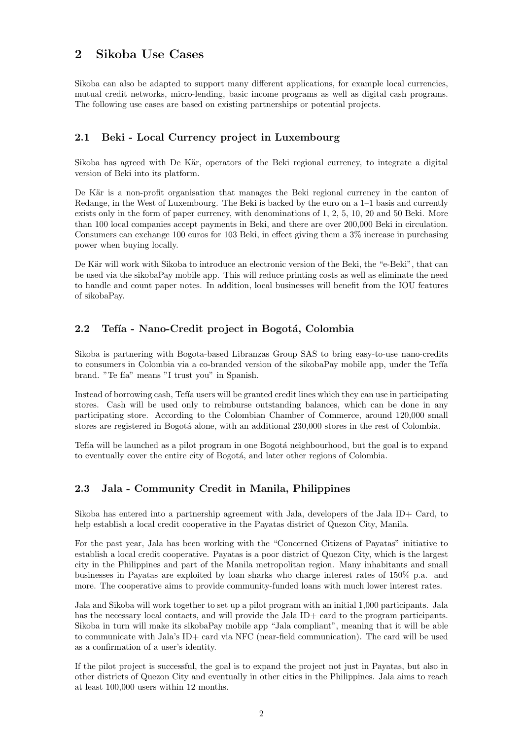## 2 Sikoba Use Cases

Sikoba can also be adapted to support many different applications, for example local currencies, mutual credit networks, micro-lending, basic income programs as well as digital cash programs. The following use cases are based on existing partnerships or potential projects.

#### 2.1 Beki - Local Currency project in Luxembourg

Sikoba has agreed with De Kär, operators of the Beki regional currency, to integrate a digital version of Beki into its platform.

De Kär is a non-profit organisation that manages the Beki regional currency in the canton of Redange, in the West of Luxembourg. The Beki is backed by the euro on a 1–1 basis and currently exists only in the form of paper currency, with denominations of 1, 2, 5, 10, 20 and 50 Beki. More than 100 local companies accept payments in Beki, and there are over 200,000 Beki in circulation. Consumers can exchange 100 euros for 103 Beki, in effect giving them a 3% increase in purchasing power when buying locally.

De Kär will work with Sikoba to introduce an electronic version of the Beki, the "e-Beki", that can be used via the sikobaPay mobile app. This will reduce printing costs as well as eliminate the need to handle and count paper notes. In addition, local businesses will benefit from the IOU features of sikobaPay.

#### 2.2 Tefía - Nano-Credit project in Bogotá, Colombia

Sikoba is partnering with Bogota-based Libranzas Group SAS to bring easy-to-use nano-credits to consumers in Colombia via a co-branded version of the sikobaPay mobile app, under the Tefía brand. "Te fía" means "I trust you" in Spanish.

Instead of borrowing cash, Tefía users will be granted credit lines which they can use in participating stores. Cash will be used only to reimburse outstanding balances, which can be done in any participating store. According to the Colombian Chamber of Commerce, around 120,000 small stores are registered in Bogotá alone, with an additional 230,000 stores in the rest of Colombia.

Tefía will be launched as a pilot program in one Bogotá neighbourhood, but the goal is to expand to eventually cover the entire city of Bogotá, and later other regions of Colombia.

#### 2.3 Jala - Community Credit in Manila, Philippines

Sikoba has entered into a partnership agreement with Jala, developers of the Jala ID+ Card, to help establish a local credit cooperative in the Payatas district of Quezon City, Manila.

For the past year, Jala has been working with the "Concerned Citizens of Payatas" initiative to establish a local credit cooperative. Payatas is a poor district of Quezon City, which is the largest city in the Philippines and part of the Manila metropolitan region. Many inhabitants and small businesses in Payatas are exploited by loan sharks who charge interest rates of 150% p.a. and more. The cooperative aims to provide community-funded loans with much lower interest rates.

Jala and Sikoba will work together to set up a pilot program with an initial 1,000 participants. Jala has the necessary local contacts, and will provide the Jala ID+ card to the program participants. Sikoba in turn will make its sikobaPay mobile app "Jala compliant", meaning that it will be able to communicate with Jala's ID+ card via NFC (near-field communication). The card will be used as a confirmation of a user's identity.

If the pilot project is successful, the goal is to expand the project not just in Payatas, but also in other districts of Quezon City and eventually in other cities in the Philippines. Jala aims to reach at least 100,000 users within 12 months.